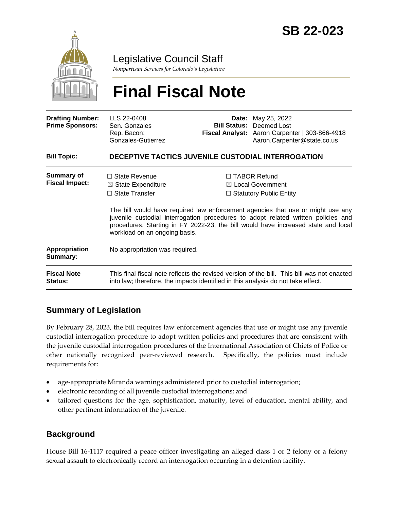

Legislative Council Staff

*Nonpartisan Services for Colorado's Legislature*

# **Final Fiscal Note**

| <b>Drafting Number:</b><br><b>Prime Sponsors:</b> | LLS 22-0408<br>Sen. Gonzales<br>Rep. Bacon;<br>Gonzales-Gutierrez                                                                                                              |  | <b>Date:</b> May 25, 2022<br><b>Bill Status: Deemed Lost</b><br>Fiscal Analyst: Aaron Carpenter   303-866-4918<br>Aaron.Carpenter@state.co.us                                                                                                                                                                                                      |  |
|---------------------------------------------------|--------------------------------------------------------------------------------------------------------------------------------------------------------------------------------|--|----------------------------------------------------------------------------------------------------------------------------------------------------------------------------------------------------------------------------------------------------------------------------------------------------------------------------------------------------|--|
| <b>Bill Topic:</b>                                | DECEPTIVE TACTICS JUVENILE CUSTODIAL INTERROGATION                                                                                                                             |  |                                                                                                                                                                                                                                                                                                                                                    |  |
| <b>Summary of</b><br><b>Fiscal Impact:</b>        | $\Box$ State Revenue<br>$\boxtimes$ State Expenditure<br>$\Box$ State Transfer<br>workload on an ongoing basis.                                                                |  | $\Box$ TABOR Refund<br>$\boxtimes$ Local Government<br>$\Box$ Statutory Public Entity<br>The bill would have required law enforcement agencies that use or might use any<br>juvenile custodial interrogation procedures to adopt related written policies and<br>procedures. Starting in FY 2022-23, the bill would have increased state and local |  |
| <b>Appropriation</b><br>Summary:                  | No appropriation was required.                                                                                                                                                 |  |                                                                                                                                                                                                                                                                                                                                                    |  |
| <b>Fiscal Note</b><br><b>Status:</b>              | This final fiscal note reflects the revised version of the bill. This bill was not enacted<br>into law; therefore, the impacts identified in this analysis do not take effect. |  |                                                                                                                                                                                                                                                                                                                                                    |  |

# **Summary of Legislation**

By February 28, 2023, the bill requires law enforcement agencies that use or might use any juvenile custodial interrogation procedure to adopt written policies and procedures that are consistent with the juvenile custodial interrogation procedures of the International Association of Chiefs of Police or other nationally recognized peer-reviewed research. Specifically, the policies must include requirements for:

- age-appropriate Miranda warnings administered prior to custodial interrogation;
- electronic recording of all juvenile custodial interrogations; and
- tailored questions for the age, sophistication, maturity, level of education, mental ability, and other pertinent information of the juvenile.

# **Background**

House Bill 16-1117 required a peace officer investigating an alleged class 1 or 2 felony or a felony sexual assault to electronically record an interrogation occurring in a detention facility.